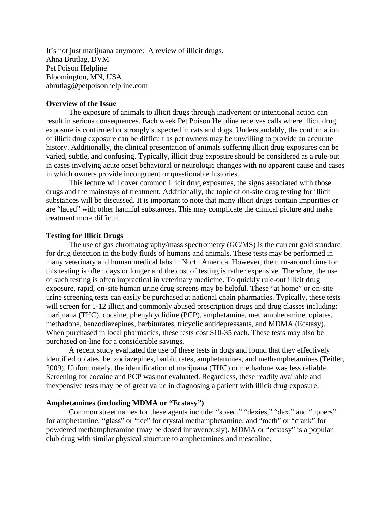It's not just marijuana anymore: A review of illicit drugs. Ahna Brutlag, DVM Pet Poison Helpline Bloomington, MN, USA abrutlag@petpoisonhelpline.com

## **Overview of the Issue**

 The exposure of animals to illicit drugs through inadvertent or intentional action can result in serious consequences. Each week Pet Poison Helpline receives calls where illicit drug exposure is confirmed or strongly suspected in cats and dogs. Understandably, the confirmation of illicit drug exposure can be difficult as pet owners may be unwilling to provide an accurate history. Additionally, the clinical presentation of animals suffering illicit drug exposures can be varied, subtle, and confusing. Typically, illicit drug exposure should be considered as a rule-out in cases involving acute onset behavioral or neurologic changes with no apparent cause and cases in which owners provide incongruent or questionable histories.

This lecture will cover common illicit drug exposures, the signs associated with those drugs and the mainstays of treatment. Additionally, the topic of on-site drug testing for illicit substances will be discussed. It is important to note that many illicit drugs contain impurities or are "laced" with other harmful substances. This may complicate the clinical picture and make treatment more difficult.

### **Testing for Illicit Drugs**

The use of gas chromatography/mass spectrometry (GC/MS) is the current gold standard for drug detection in the body fluids of humans and animals. These tests may be performed in many veterinary and human medical labs in North America. However, the turn-around time for this testing is often days or longer and the cost of testing is rather expensive. Therefore, the use of such testing is often impractical in veterinary medicine. To quickly rule-out illicit drug exposure, rapid, on-site human urine drug screens may be helpful. These "at home" or on-site urine screening tests can easily be purchased at national chain pharmacies. Typically, these tests will screen for 1-12 illicit and commonly abused prescription drugs and drug classes including: marijuana (THC), cocaine, phenylcyclidine (PCP), amphetamine, methamphetamine, opiates, methadone, benzodiazepines, barbiturates, tricyclic antidepressants, and MDMA (Ecstasy). When purchased in local pharmacies, these tests cost \$10-35 each. These tests may also be purchased on-line for a considerable savings.

A recent study evaluated the use of these tests in dogs and found that they effectively identified opiates, benzodiazepines, barbiturates, amphetamines, and methamphetamines (Teitler, 2009). Unfortunately, the identification of marijuana (THC) or methadone was less reliable. Screening for cocaine and PCP was not evaluated. Regardless, these readily available and inexpensive tests may be of great value in diagnosing a patient with illicit drug exposure.

## **Amphetamines (including MDMA or "Ecstasy")**

Common street names for these agents include: "speed," "dexies," "dex," and "uppers" for amphetamine; "glass" or "ice" for crystal methamphetamine; and "meth" or "crank" for powdered methamphetamine (may be dosed intravenously). MDMA or "ecstasy" is a popular club drug with similar physical structure to amphetamines and mescaline.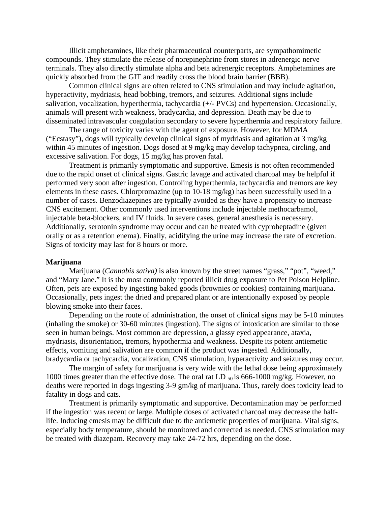Illicit amphetamines, like their pharmaceutical counterparts, are sympathomimetic compounds. They stimulate the release of norepinephrine from stores in adrenergic nerve terminals. They also directly stimulate alpha and beta adrenergic receptors. Amphetamines are quickly absorbed from the GIT and readily cross the blood brain barrier (BBB).

Common clinical signs are often related to CNS stimulation and may include agitation, hyperactivity, mydriasis, head bobbing, tremors, and seizures. Additional signs include salivation, vocalization, hyperthermia, tachycardia (+/- PVCs) and hypertension. Occasionally, animals will present with weakness, bradycardia, and depression. Death may be due to disseminated intravascular coagulation secondary to severe hyperthermia and respiratory failure.

The range of toxicity varies with the agent of exposure. However, for MDMA ("Ecstasy"), dogs will typically develop clinical signs of mydriasis and agitation at 3 mg/kg within 45 minutes of ingestion. Dogs dosed at 9 mg/kg may develop tachypnea, circling, and excessive salivation. For dogs, 15 mg/kg has proven fatal.

Treatment is primarily symptomatic and supportive. Emesis is not often recommended due to the rapid onset of clinical signs. Gastric lavage and activated charcoal may be helpful if performed very soon after ingestion. Controling hyperthermia, tachycardia and tremors are key elements in these cases. Chlorpromazine (up to 10-18 mg/kg) has been successfully used in a number of cases. Benzodiazepines are typically avoided as they have a propensity to increase CNS excitement. Other commonly used interventions include injectable methocarbamol, injectable beta-blockers, and IV fluids. In severe cases, general anesthesia is necessary. Additionally, serotonin syndrome may occur and can be treated with cyproheptadine (given orally or as a retention enema). Finally, acidifying the urine may increase the rate of excretion. Signs of toxicity may last for 8 hours or more.

## **Marijuana**

Marijuana (*Cannabis sativa)* is also known by the street names "grass," "pot", "weed," and "Mary Jane." It is the most commonly reported illicit drug exposure to Pet Poison Helpline. Often, pets are exposed by ingesting baked goods (brownies or cookies) containing marijuana. Occasionally, pets ingest the dried and prepared plant or are intentionally exposed by people blowing smoke into their faces.

 Depending on the route of administration, the onset of clinical signs may be 5-10 minutes (inhaling the smoke) or 30-60 minutes (ingestion). The signs of intoxication are similar to those seen in human beings. Most common are depression, a glassy eyed appearance, ataxia, mydriasis, disorientation, tremors, hypothermia and weakness. Despite its potent antiemetic effects, vomiting and salivation are common if the product was ingested. Additionally, bradycardia or tachycardia, vocalization, CNS stimulation, hyperactivity and seizures may occur.

The margin of safety for marijuana is very wide with the lethal dose being approximately 1000 times greater than the effective dose. The oral rat LD  $_{50}$  is 666-1000 mg/kg. However, no deaths were reported in dogs ingesting 3-9 gm/kg of marijuana. Thus, rarely does toxicity lead to fatality in dogs and cats.

Treatment is primarily symptomatic and supportive. Decontamination may be performed if the ingestion was recent or large. Multiple doses of activated charcoal may decrease the halflife. Inducing emesis may be difficult due to the antiemetic properties of marijuana. Vital signs, especially body temperature, should be monitored and corrected as needed. CNS stimulation may be treated with diazepam. Recovery may take 24-72 hrs, depending on the dose.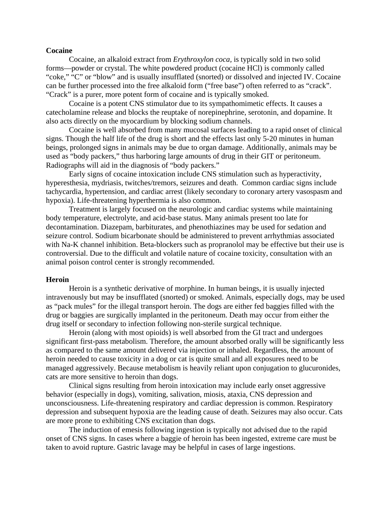#### **Cocaine**

 Cocaine, an alkaloid extract from *Erythroxylon coca,* is typically sold in two solid forms—powder or crystal. The white powdered product (cocaine HCl) is commonly called "coke," "C" or "blow" and is usually insufflated (snorted) or dissolved and injected IV. Cocaine can be further processed into the free alkaloid form ("free base") often referred to as "crack". "Crack" is a purer, more potent form of cocaine and is typically smoked.

 Cocaine is a potent CNS stimulator due to its sympathomimetic effects. It causes a catecholamine release and blocks the reuptake of norepinephrine, serotonin, and dopamine. It also acts directly on the myocardium by blocking sodium channels.

 Cocaine is well absorbed from many mucosal surfaces leading to a rapid onset of clinical signs. Though the half life of the drug is short and the effects last only 5-20 minutes in human beings, prolonged signs in animals may be due to organ damage. Additionally, animals may be used as "body packers," thus harboring large amounts of drug in their GIT or peritoneum. Radiographs will aid in the diagnosis of "body packers."

 Early signs of cocaine intoxication include CNS stimulation such as hyperactivity, hyperesthesia, mydriasis, twitches/tremors, seizures and death. Common cardiac signs include tachycardia, hypertension, and cardiac arrest (likely secondary to coronary artery vasospasm and hypoxia). Life-threatening hyperthermia is also common.

 Treatment is largely focused on the neurologic and cardiac systems while maintaining body temperature, electrolyte, and acid-base status. Many animals present too late for decontamination. Diazepam, barbiturates, and phenothiazines may be used for sedation and seizure control. Sodium bicarbonate should be administered to prevent arrhythmias associated with Na-K channel inhibition. Beta-blockers such as propranolol may be effective but their use is controversial. Due to the difficult and volatile nature of cocaine toxicity, consultation with an animal poison control center is strongly recommended.

#### **Heroin**

Heroin is a synthetic derivative of morphine. In human beings, it is usually injected intravenously but may be insufflated (snorted) or smoked. Animals, especially dogs, may be used as "pack mules" for the illegal transport heroin. The dogs are either fed baggies filled with the drug or baggies are surgically implanted in the peritoneum. Death may occur from either the drug itself or secondary to infection following non-sterile surgical technique.

 Heroin (along with most opioids) is well absorbed from the GI tract and undergoes significant first-pass metabolism. Therefore, the amount absorbed orally will be significantly less as compared to the same amount delivered via injection or inhaled. Regardless, the amount of heroin needed to cause toxicity in a dog or cat is quite small and all exposures need to be managed aggressively. Because metabolism is heavily reliant upon conjugation to glucuronides, cats are more sensitive to heroin than dogs.

 Clinical signs resulting from heroin intoxication may include early onset aggressive behavior (especially in dogs), vomiting, salivation, miosis, ataxia, CNS depression and unconsciousness. Life-threatening respiratory and cardiac depression is common. Respiratory depression and subsequent hypoxia are the leading cause of death. Seizures may also occur. Cats are more prone to exhibiting CNS excitation than dogs.

 The induction of emesis following ingestion is typically not advised due to the rapid onset of CNS signs. In cases where a baggie of heroin has been ingested, extreme care must be taken to avoid rupture. Gastric lavage may be helpful in cases of large ingestions.